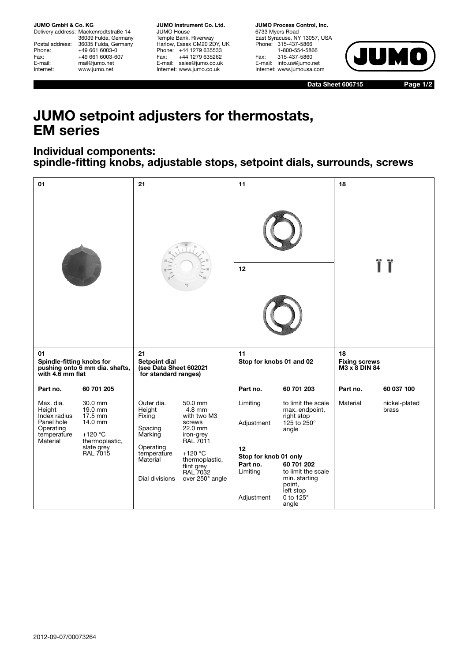**JUMO GmbH & Co. KG**

Delivery address: Mackenrodtstraße 14 36039 Fulda, Germany Postal address: 36035 Fulda, Germany<br>Phone: +49 661 6003-0 Phone: +49 661 6003-0<br>Fax: +49 661 6003-6 Fax: +49 661 6003-607<br>E-mail: mail@jumo.net mail@jumo.net Internet: www.jumo.net

**JUMO Instrument Co. Ltd.** JUMO House Temple Bank, Riverway Harlow, Essex CM20 2DY, UK Phone: +44 1279 635533<br>Fax: +44 1279 635262 +44 1279 635262 E-mail: sales@jumo.co.uk Internet: www.jumo.co.uk

**JUMO Process Control, Inc.** 6733 Myers Road East Syracuse, NY 13057, USA Phone: 315-437-5866 1-800-554-5866 Fax: 315-437-5860 E-mail: info.us@jumo.net Internet: www.jumousa.com



**Data Sheet 606715 Page 1/2**

## **JUMO setpoint adjusters for thermostats, EM series**

## **Individual components: spindle-fitting knobs, adjustable stops, setpoint dials, surrounds, screws**

| 01                                                                                        |                                                                                                            | 21                                                                                                             |                                                                                                                                                                                    | 11                                                                                                                 |                                                                            | 18                                          |                        |
|-------------------------------------------------------------------------------------------|------------------------------------------------------------------------------------------------------------|----------------------------------------------------------------------------------------------------------------|------------------------------------------------------------------------------------------------------------------------------------------------------------------------------------|--------------------------------------------------------------------------------------------------------------------|----------------------------------------------------------------------------|---------------------------------------------|------------------------|
|                                                                                           |                                                                                                            |                                                                                                                |                                                                                                                                                                                    |                                                                                                                    |                                                                            |                                             |                        |
|                                                                                           |                                                                                                            |                                                                                                                |                                                                                                                                                                                    | 12                                                                                                                 |                                                                            |                                             |                        |
| 01<br>Spindle-fitting knobs for<br>pushing onto 6 mm dia. shafts,<br>with 4.6 mm flat     |                                                                                                            | 21<br><b>Setpoint dial</b><br>(see Data Sheet 602021<br>for standard ranges)                                   |                                                                                                                                                                                    | 11<br>Stop for knobs 01 and 02                                                                                     |                                                                            | 18<br><b>Fixing screws</b><br>M3 x 8 DIN 84 |                        |
| Part no.                                                                                  | 60 701 205                                                                                                 |                                                                                                                |                                                                                                                                                                                    | Part no.                                                                                                           | 60 701 203                                                                 | Part no.                                    | 60 037 100             |
| Max. dia.<br>Height<br>Index radius<br>Panel hole<br>Operating<br>temperature<br>Material | 30.0 mm<br>$19.0$ mm<br>17.5 mm<br>14.0 mm<br>$+120 °C$<br>thermoplastic,<br>slate grey<br><b>RAL 7015</b> | Outer dia.<br>Height<br>Fixing<br>Spacing<br>Marking<br>Operating<br>temperature<br>Material<br>Dial divisions | 50.0 mm<br>$4.8 \text{ mm}$<br>with two M3<br>screws<br>22.0 mm<br>iron-grey<br><b>RAL 7011</b><br>$+120 °C$<br>thermoplastic,<br>flint grey<br><b>RAL 7032</b><br>over 250° angle | Limiting<br>Adjustment                                                                                             | to limit the scale<br>max. endpoint,<br>right stop<br>125 to 250°<br>angle | Material                                    | nickel-plated<br>brass |
|                                                                                           |                                                                                                            |                                                                                                                |                                                                                                                                                                                    | 12<br>Stop for knob 01 only<br>60 701 202<br>Part no.<br>Limiting<br>to limit the scale<br>min. starting<br>point, |                                                                            |                                             |                        |
|                                                                                           |                                                                                                            |                                                                                                                |                                                                                                                                                                                    | Adjustment                                                                                                         | left stop<br>0 to $125^\circ$<br>angle                                     |                                             |                        |